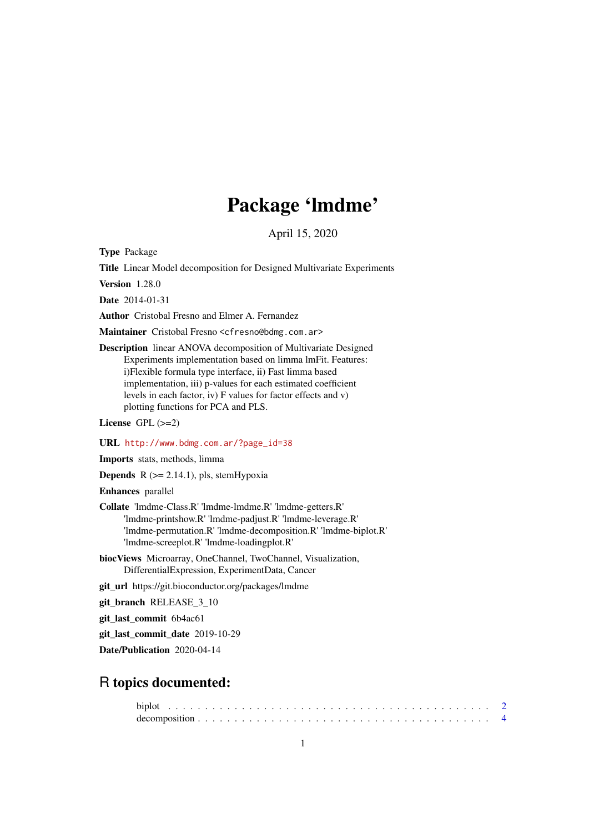## Package 'lmdme'

April 15, 2020

<span id="page-0-0"></span>Type Package

Title Linear Model decomposition for Designed Multivariate Experiments

Version 1.28.0

Date 2014-01-31

Author Cristobal Fresno and Elmer A. Fernandez

Maintainer Cristobal Fresno <cfresno@bdmg.com.ar>

Description linear ANOVA decomposition of Multivariate Designed Experiments implementation based on limma lmFit. Features: i)Flexible formula type interface, ii) Fast limma based implementation, iii) p-values for each estimated coefficient levels in each factor, iv) F values for factor effects and v) plotting functions for PCA and PLS.

License GPL (>=2)

URL [http://www.bdmg.com.ar/?page\\_id=38](http://www.bdmg.com.ar/?page_id=38)

Imports stats, methods, limma

**Depends**  $R$  ( $>= 2.14.1$ ), pls, stemHypoxia

Enhances parallel

- Collate 'lmdme-Class.R' 'lmdme-lmdme.R' 'lmdme-getters.R' 'lmdme-printshow.R' 'lmdme-padjust.R' 'lmdme-leverage.R' 'lmdme-permutation.R' 'lmdme-decomposition.R' 'lmdme-biplot.R' 'lmdme-screeplot.R' 'lmdme-loadingplot.R'
- biocViews Microarray, OneChannel, TwoChannel, Visualization, DifferentialExpression, ExperimentData, Cancer
- git\_url https://git.bioconductor.org/packages/lmdme
- git\_branch RELEASE\_3\_10

git\_last\_commit 6b4ac61

git last commit date 2019-10-29

Date/Publication 2020-04-14

## R topics documented: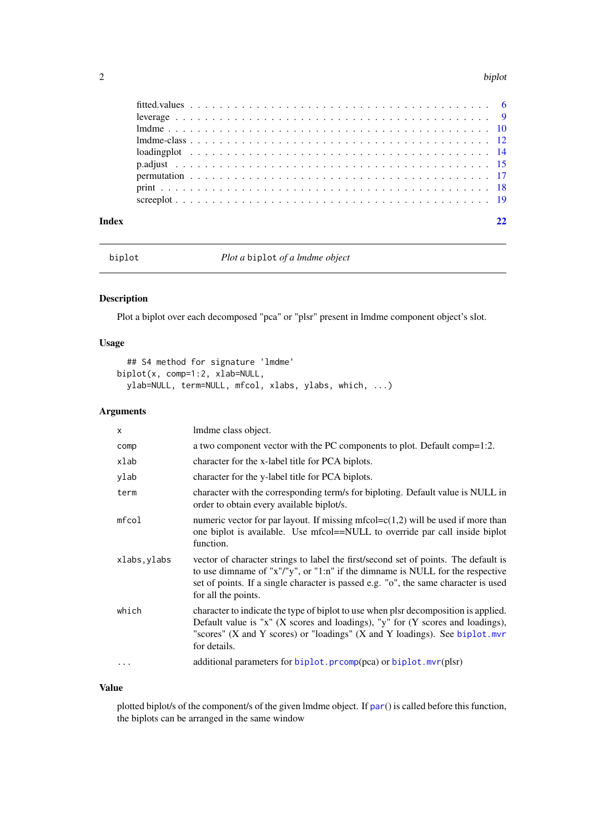<span id="page-1-0"></span>

| Index |  |  |  |  |  |  |  |  |  |  |  |  |  |  |  |  |  |  |  |  |
|-------|--|--|--|--|--|--|--|--|--|--|--|--|--|--|--|--|--|--|--|--|

<span id="page-1-1"></span>biplot *Plot a* biplot *of a lmdme object*

## Description

Plot a biplot over each decomposed "pca" or "plsr" present in lmdme component object's slot.

## Usage

```
## S4 method for signature 'lmdme'
biplot(x, comp=1:2, xlab=NULL,
  ylab=NULL, term=NULL, mfcol, xlabs, ylabs, which, ...)
```
## Arguments

| $\mathsf{x}$ | Imdme class object.                                                                                                                                                                                                                                                                        |
|--------------|--------------------------------------------------------------------------------------------------------------------------------------------------------------------------------------------------------------------------------------------------------------------------------------------|
| comp         | a two component vector with the PC components to plot. Default comp=1:2.                                                                                                                                                                                                                   |
| xlab         | character for the x-label title for PCA biplots.                                                                                                                                                                                                                                           |
| ylab         | character for the y-label title for PCA biplots.                                                                                                                                                                                                                                           |
| term         | character with the corresponding term/s for biploting. Default value is NULL in<br>order to obtain every available biplot/s.                                                                                                                                                               |
| mfcol        | numeric vector for par layout. If missing mfcol= $c(1,2)$ will be used if more than<br>one biplot is available. Use mfcol==NULL to override par call inside biplot<br>function.                                                                                                            |
| xlabs, ylabs | vector of character strings to label the first/second set of points. The default is<br>to use dimname of " $x$ "/" $y$ ", or "1:n" if the dimname is NULL for the respective<br>set of points. If a single character is passed e.g. "o", the same character is used<br>for all the points. |
| which        | character to indicate the type of biplot to use when plsr decomposition is applied.<br>Default value is " $x$ " (X scores and loadings), "y" for (Y scores and loadings),<br>"scores" (X and Y scores) or "loadings" (X and Y loadings). See biplot.mvr<br>for details.                    |
| .            | additional parameters for biplot.prcomp(pca) or biplot.mvr(plsr)                                                                                                                                                                                                                           |

#### Value

plotted biplot/s of the component/s of the given lmdme object. If [par](#page-0-0)() is called before this function, the biplots can be arranged in the same window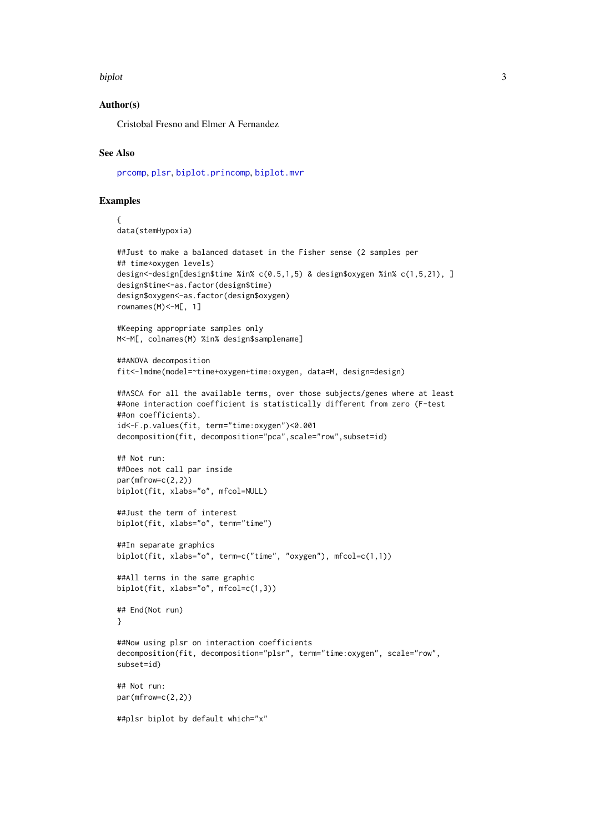#### <span id="page-2-0"></span>biplot 3

#### Author(s)

Cristobal Fresno and Elmer A Fernandez

## See Also

[prcomp](#page-0-0), [plsr](#page-0-0), [biplot.princomp](#page-0-0), [biplot.mvr](#page-0-0)

## Examples

```
{
data(stemHypoxia)
```

```
##Just to make a balanced dataset in the Fisher sense (2 samples per
## time*oxygen levels)
design<-design[design$time %in% c(0.5,1,5) & design$oxygen %in% c(1,5,21), ]
design$time<-as.factor(design$time)
design$oxygen<-as.factor(design$oxygen)
rownames(M)<-M[, 1]
```

```
#Keeping appropriate samples only
M<-M[, colnames(M) %in% design$samplename]
```

```
##ANOVA decomposition
fit<-lmdme(model=~time+oxygen+time:oxygen, data=M, design=design)
```

```
##ASCA for all the available terms, over those subjects/genes where at least
##one interaction coefficient is statistically different from zero (F-test
##on coefficients).
id<-F.p.values(fit, term="time:oxygen")<0.001
decomposition(fit, decomposition="pca",scale="row",subset=id)
```

```
## Not run:
##Does not call par inside
par(mfrow=c(2,2))
biplot(fit, xlabs="o", mfcol=NULL)
```
##Just the term of interest biplot(fit, xlabs="o", term="time")

```
##In separate graphics
biplot(fit, xlabs="o", term=c("time", "oxygen"), mfcol=c(1,1))
```
##All terms in the same graphic biplot(fit, xlabs="o", mfcol=c(1,3))

```
## End(Not run)
}
```

```
##Now using plsr on interaction coefficients
decomposition(fit, decomposition="plsr", term="time:oxygen", scale="row",
subset=id)
```

```
## Not run:
par(mfrow=c(2,2))
```

```
##plsr biplot by default which="x"
```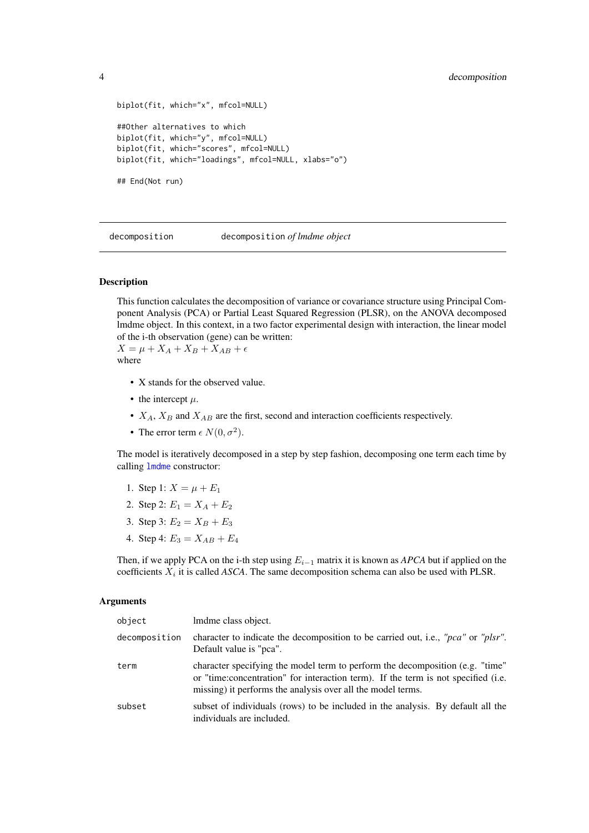```
biplot(fit, which="x", mfcol=NULL)
##Other alternatives to which
biplot(fit, which="y", mfcol=NULL)
biplot(fit, which="scores", mfcol=NULL)
biplot(fit, which="loadings", mfcol=NULL, xlabs="o")
## End(Not run)
```
<span id="page-3-1"></span>decomposition decomposition *of lmdme object*

#### Description

This function calculates the decomposition of variance or covariance structure using Principal Component Analysis (PCA) or Partial Least Squared Regression (PLSR), on the ANOVA decomposed lmdme object. In this context, in a two factor experimental design with interaction, the linear model of the i-th observation (gene) can be written:

 $X = \mu + X_A + X_B + X_{AB} + \epsilon$ where

- X stands for the observed value.
- the intercept  $\mu$ .
- $X_A$ ,  $X_B$  and  $X_{AB}$  are the first, second and interaction coefficients respectively.
- The error term  $\epsilon N(0, \sigma^2)$ .

The model is iteratively decomposed in a step by step fashion, decomposing one term each time by calling [lmdme](#page-9-1) constructor:

- 1. Step 1:  $X = \mu + E_1$
- 2. Step 2:  $E_1 = X_A + E_2$
- 3. Step 3:  $E_2 = X_B + E_3$
- 4. Step 4:  $E_3 = X_{AB} + E_4$

Then, if we apply PCA on the i-th step using  $E_{i-1}$  matrix it is known as *APCA* but if applied on the coefficients  $X_i$  it is called *ASCA*. The same decomposition schema can also be used with PLSR.

#### Arguments

| object        | Imdme class object.                                                                                                                                                                                                                |
|---------------|------------------------------------------------------------------------------------------------------------------------------------------------------------------------------------------------------------------------------------|
| decomposition | character to indicate the decomposition to be carried out, i.e., " <i>pca</i> " or " <i>plsr</i> ".<br>Default value is "pca".                                                                                                     |
| term          | character specifying the model term to perform the decomposition (e.g. "time"<br>or "time: concentration" for interaction term). If the term is not specified (i.e.<br>missing) it performs the analysis over all the model terms. |
| subset        | subset of individuals (rows) to be included in the analysis. By default all the<br>individuals are included.                                                                                                                       |

<span id="page-3-0"></span>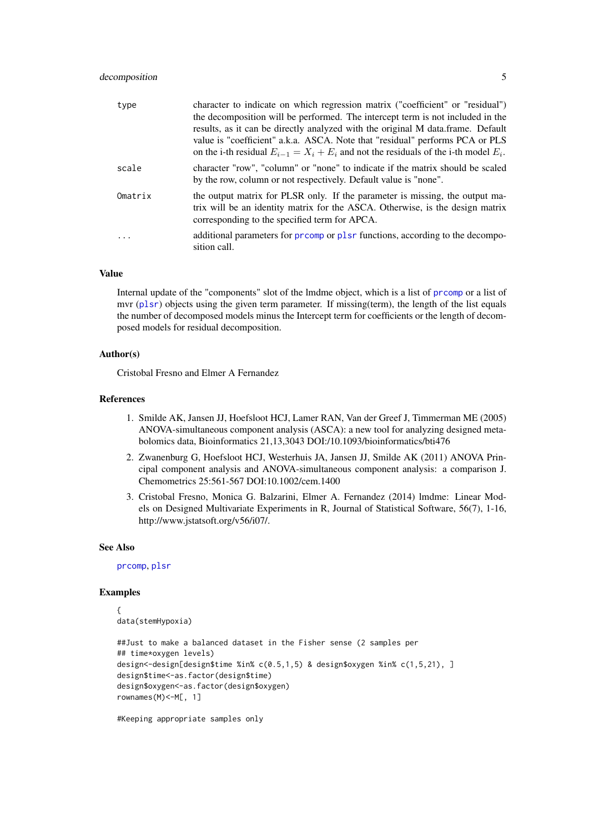#### <span id="page-4-0"></span>decomposition 5

| type       | character to indicate on which regression matrix ("coefficient" or "residual")<br>the decomposition will be performed. The intercept term is not included in the<br>results, as it can be directly analyzed with the original M data frame. Default<br>value is "coefficient" a.k.a. ASCA. Note that "residual" performs PCA or PLS<br>on the i-th residual $E_{i-1} = X_i + E_i$ and not the residuals of the i-th model $E_i$ . |
|------------|-----------------------------------------------------------------------------------------------------------------------------------------------------------------------------------------------------------------------------------------------------------------------------------------------------------------------------------------------------------------------------------------------------------------------------------|
| scale      | character "row", "column" or "none" to indicate if the matrix should be scaled<br>by the row, column or not respectively. Default value is "none".                                                                                                                                                                                                                                                                                |
| Omatrix    | the output matrix for PLSR only. If the parameter is missing, the output ma-<br>trix will be an identity matrix for the ASCA. Otherwise, is the design matrix<br>corresponding to the specified term for APCA.                                                                                                                                                                                                                    |
| $\ddots$ . | additional parameters for promp or plsr functions, according to the decompo-<br>sition call.                                                                                                                                                                                                                                                                                                                                      |

#### Value

Internal update of the "components" slot of the lmdme object, which is a list of [prcomp](#page-0-0) or a list of mvr ([plsr](#page-0-0)) objects using the given term parameter. If missing(term), the length of the list equals the number of decomposed models minus the Intercept term for coefficients or the length of decomposed models for residual decomposition.

#### Author(s)

Cristobal Fresno and Elmer A Fernandez

#### References

- 1. Smilde AK, Jansen JJ, Hoefsloot HCJ, Lamer RAN, Van der Greef J, Timmerman ME (2005) ANOVA-simultaneous component analysis (ASCA): a new tool for analyzing designed metabolomics data, Bioinformatics 21,13,3043 DOI:/10.1093/bioinformatics/bti476
- 2. Zwanenburg G, Hoefsloot HCJ, Westerhuis JA, Jansen JJ, Smilde AK (2011) ANOVA Principal component analysis and ANOVA-simultaneous component analysis: a comparison J. Chemometrics 25:561-567 DOI:10.1002/cem.1400
- 3. Cristobal Fresno, Monica G. Balzarini, Elmer A. Fernandez (2014) lmdme: Linear Models on Designed Multivariate Experiments in R, Journal of Statistical Software, 56(7), 1-16, http://www.jstatsoft.org/v56/i07/.

### See Also

[prcomp](#page-0-0), [plsr](#page-0-0)

#### Examples

```
{
data(stemHypoxia)
##Just to make a balanced dataset in the Fisher sense (2 samples per
## time*oxygen levels)
design<-design[design$time %in% c(0.5,1,5) & design$oxygen %in% c(1,5,21), ]
design$time<-as.factor(design$time)
design$oxygen<-as.factor(design$oxygen)
rownames(M)<-M[, 1]
```
#Keeping appropriate samples only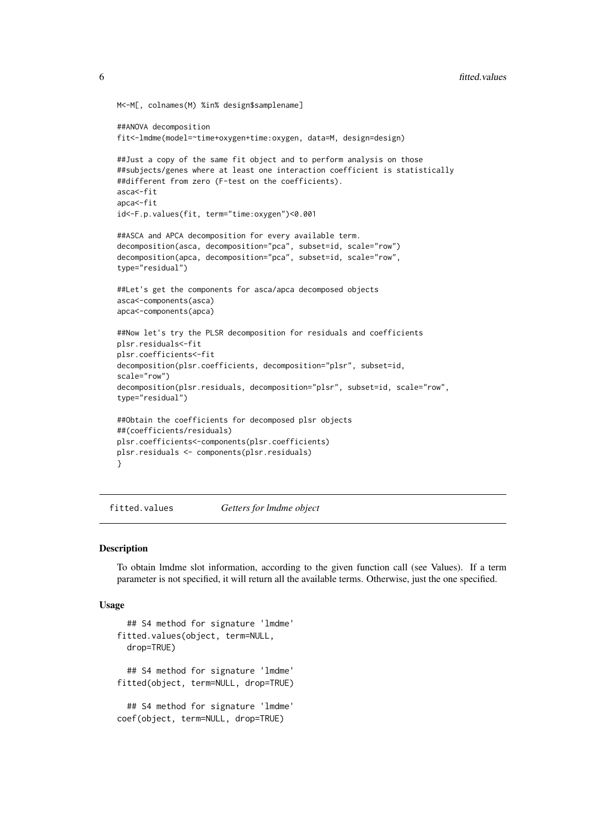```
M<-M[, colnames(M) %in% design$samplename]
##ANOVA decomposition
fit<-lmdme(model=~time+oxygen+time:oxygen, data=M, design=design)
##Just a copy of the same fit object and to perform analysis on those
##subjects/genes where at least one interaction coefficient is statistically
##different from zero (F-test on the coefficients).
asca<-fit
apca<-fit
id<-F.p.values(fit, term="time:oxygen")<0.001
##ASCA and APCA decomposition for every available term.
decomposition(asca, decomposition="pca", subset=id, scale="row")
decomposition(apca, decomposition="pca", subset=id, scale="row",
type="residual")
##Let's get the components for asca/apca decomposed objects
asca<-components(asca)
apca<-components(apca)
##Now let's try the PLSR decomposition for residuals and coefficients
plsr.residuals<-fit
plsr.coefficients<-fit
decomposition(plsr.coefficients, decomposition="plsr", subset=id,
scale="row")
decomposition(plsr.residuals, decomposition="plsr", subset=id, scale="row",
type="residual")
##Obtain the coefficients for decomposed plsr objects
##(coefficients/residuals)
plsr.coefficients<-components(plsr.coefficients)
plsr.residuals <- components(plsr.residuals)
}
```
fitted.values *Getters for lmdme object*

#### <span id="page-5-1"></span>Description

To obtain lmdme slot information, according to the given function call (see Values). If a term parameter is not specified, it will return all the available terms. Otherwise, just the one specified.

#### Usage

```
## S4 method for signature 'lmdme'
fitted.values(object, term=NULL,
 drop=TRUE)
  ## S4 method for signature 'lmdme'
fitted(object, term=NULL, drop=TRUE)
 ## S4 method for signature 'lmdme'
coef(object, term=NULL, drop=TRUE)
```
<span id="page-5-0"></span>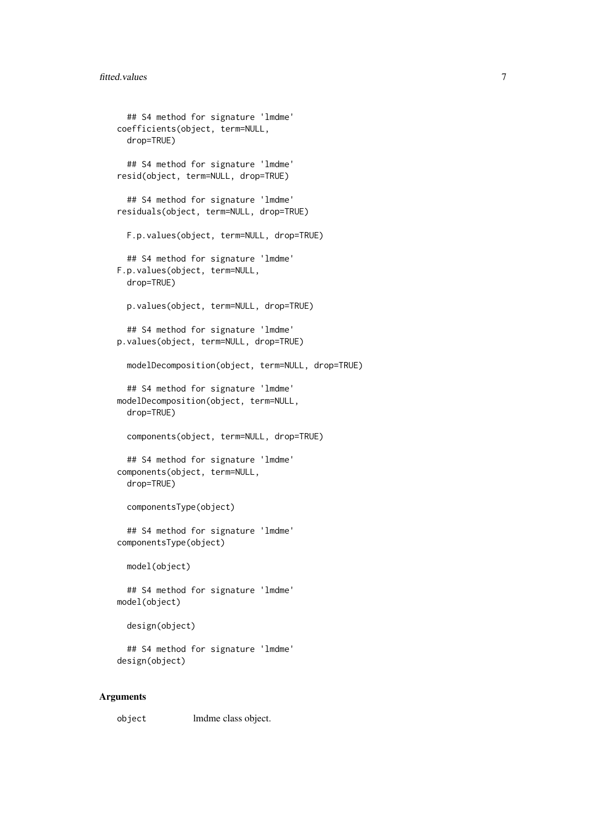```
## S4 method for signature 'lmdme'
coefficients(object, term=NULL,
 drop=TRUE)
 ## S4 method for signature 'lmdme'
resid(object, term=NULL, drop=TRUE)
  ## S4 method for signature 'lmdme'
residuals(object, term=NULL, drop=TRUE)
 F.p.values(object, term=NULL, drop=TRUE)
 ## S4 method for signature 'lmdme'
F.p.values(object, term=NULL,
 drop=TRUE)
 p.values(object, term=NULL, drop=TRUE)
 ## S4 method for signature 'lmdme'
p.values(object, term=NULL, drop=TRUE)
 modelDecomposition(object, term=NULL, drop=TRUE)
 ## S4 method for signature 'lmdme'
modelDecomposition(object, term=NULL,
 drop=TRUE)
 components(object, term=NULL, drop=TRUE)
 ## S4 method for signature 'lmdme'
components(object, term=NULL,
 drop=TRUE)
  componentsType(object)
 ## S4 method for signature 'lmdme'
componentsType(object)
 model(object)
 ## S4 method for signature 'lmdme'
model(object)
 design(object)
 ## S4 method for signature 'lmdme'
design(object)
```
## Arguments

object lmdme class object.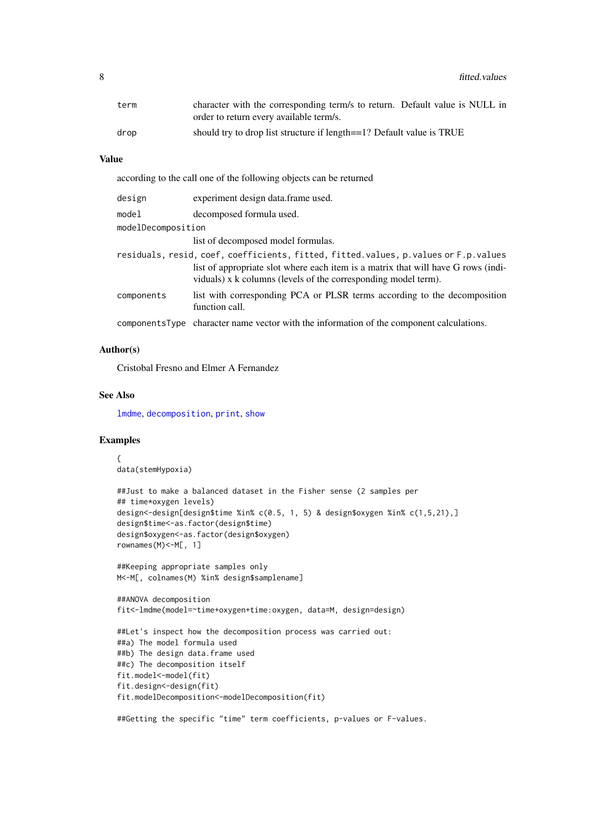<span id="page-7-0"></span>

| term | character with the corresponding term/s to return. Default value is NULL in |
|------|-----------------------------------------------------------------------------|
|      | order to return every available term/s.                                     |
| drop | should try to drop list structure if length==1? Default value is TRUE       |

## Value

according to the call one of the following objects can be returned

| design             | experiment design data.frame used.                                                                                                                  |
|--------------------|-----------------------------------------------------------------------------------------------------------------------------------------------------|
| model              | decomposed formula used.                                                                                                                            |
| modelDecomposition |                                                                                                                                                     |
|                    | list of decomposed model formulas.                                                                                                                  |
|                    | residuals, resid, coef, coefficients, fitted, fitted.values, p.values or F.p.values                                                                 |
|                    | list of appropriate slot where each item is a matrix that will have G rows (indi-<br>viduals) x k columns (levels of the corresponding model term). |
| components         | list with corresponding PCA or PLSR terms according to the decomposition<br>function call.                                                          |
|                    | components Type character name vector with the information of the component calculations.                                                           |

#### Author(s)

Cristobal Fresno and Elmer A Fernandez

#### See Also

[lmdme](#page-9-1), [decomposition](#page-3-1), [print](#page-17-1), [show](#page-17-2)

#### Examples

```
{
data(stemHypoxia)
```

```
##Just to make a balanced dataset in the Fisher sense (2 samples per
## time*oxygen levels)
design<-design[design$time %in% c(0.5, 1, 5) & design$oxygen %in% c(1,5,21),]
design$time<-as.factor(design$time)
design$oxygen<-as.factor(design$oxygen)
rownames(M)<-M[, 1]
```

```
##Keeping appropriate samples only
M<-M[, colnames(M) %in% design$samplename]
```

```
##ANOVA decomposition
fit<-lmdme(model=~time+oxygen+time:oxygen, data=M, design=design)
```

```
##Let's inspect how the decomposition process was carried out:
##a) The model formula used
##b) The design data.frame used
##c) The decomposition itself
fit.model<-model(fit)
fit.design<-design(fit)
fit.modelDecomposition<-modelDecomposition(fit)
```

```
##Getting the specific "time" term coefficients, p-values or F-values.
```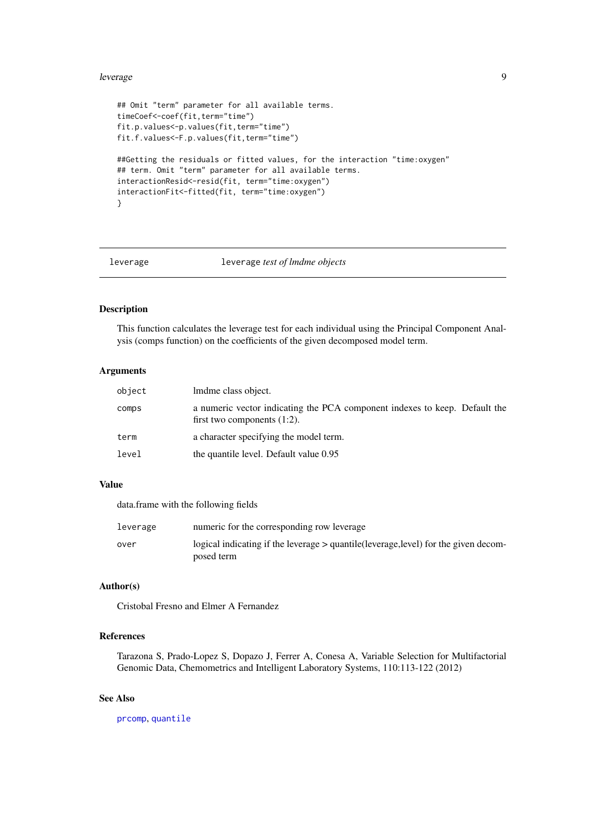#### <span id="page-8-0"></span>leverage the contract of the contract of the contract of the contract of the contract of the contract of the contract of the contract of the contract of the contract of the contract of the contract of the contract of the c

```
## Omit "term" parameter for all available terms.
timeCoef<-coef(fit,term="time")
fit.p.values<-p.values(fit,term="time")
fit.f.values<-F.p.values(fit,term="time")
##Getting the residuals or fitted values, for the interaction "time:oxygen"
## term. Omit "term" parameter for all available terms.
interactionResid<-resid(fit, term="time:oxygen")
interactionFit<-fitted(fit, term="time:oxygen")
}
```
#### leverage leverage *test of lmdme objects*

### Description

This function calculates the leverage test for each individual using the Principal Component Analysis (comps function) on the coefficients of the given decomposed model term.

#### Arguments

| object | lmdme class object.                                                                                          |
|--------|--------------------------------------------------------------------------------------------------------------|
| comps  | a numeric vector indicating the PCA component indexes to keep. Default the<br>first two components $(1:2)$ . |
| term   | a character specifying the model term.                                                                       |
| level  | the quantile level. Default value 0.95                                                                       |

## Value

data.frame with the following fields

| leverage | numeric for the corresponding row leverage                                                         |
|----------|----------------------------------------------------------------------------------------------------|
| over     | logical indicating if the leverage > quantile (leverage, level) for the given decom-<br>posed term |

## Author(s)

Cristobal Fresno and Elmer A Fernandez

### References

Tarazona S, Prado-Lopez S, Dopazo J, Ferrer A, Conesa A, Variable Selection for Multifactorial Genomic Data, Chemometrics and Intelligent Laboratory Systems, 110:113-122 (2012)

## See Also

[prcomp](#page-0-0), [quantile](#page-0-0)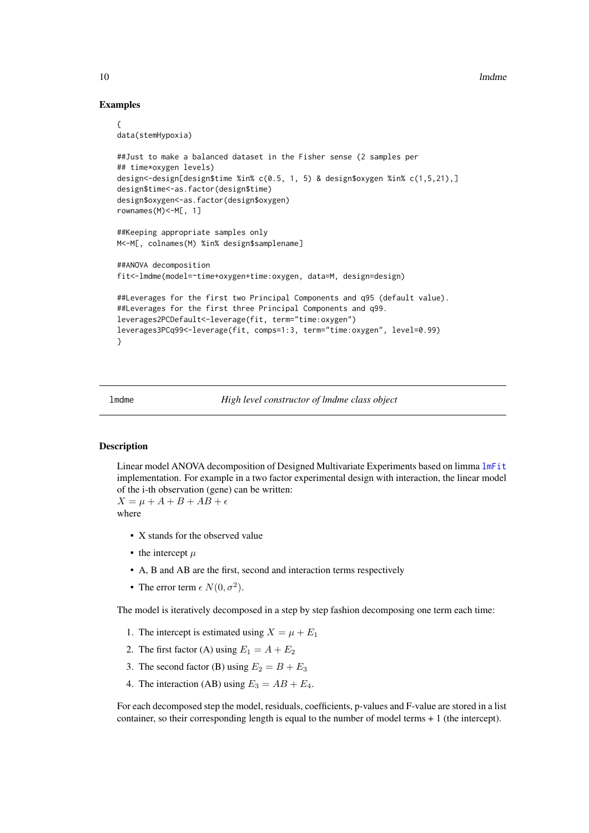## Examples {

## data(stemHypoxia)

```
##Just to make a balanced dataset in the Fisher sense (2 samples per
## time*oxygen levels)
design<-design[design$time %in% c(0.5, 1, 5) & design$oxygen %in% c(1,5,21),]
design$time<-as.factor(design$time)
design$oxygen<-as.factor(design$oxygen)
rownames(M)<-M[, 1]
##Keeping appropriate samples only
M<-M[, colnames(M) %in% design$samplename]
##ANOVA decomposition
fit<-lmdme(model=~time+oxygen+time:oxygen, data=M, design=design)
##Leverages for the first two Principal Components and q95 (default value).
##Leverages for the first three Principal Components and q99.
leverages2PCDefault<-leverage(fit, term="time:oxygen")
```

```
leverages3PCq99<-leverage(fit, comps=1:3, term="time:oxygen", level=0.99)
```
}

#### <span id="page-9-1"></span>lmdme *High level constructor of lmdme class object*

#### Description

Linear model ANOVA decomposition of Designed Multivariate Experiments based on limma [lmFit](#page-0-0) implementation. For example in a two factor experimental design with interaction, the linear model of the i-th observation (gene) can be written:

 $X = \mu + A + B + AB + \epsilon$ where

- X stands for the observed value
- the intercept  $\mu$
- A, B and AB are the first, second and interaction terms respectively
- The error term  $\epsilon N(0, \sigma^2)$ .

The model is iteratively decomposed in a step by step fashion decomposing one term each time:

- 1. The intercept is estimated using  $X = \mu + E_1$
- 2. The first factor (A) using  $E_1 = A + E_2$
- 3. The second factor (B) using  $E_2 = B + E_3$
- 4. The interaction (AB) using  $E_3 = AB + E_4$ .

For each decomposed step the model, residuals, coefficients, p-values and F-value are stored in a list container, so their corresponding length is equal to the number of model terms + 1 (the intercept).

<span id="page-9-0"></span>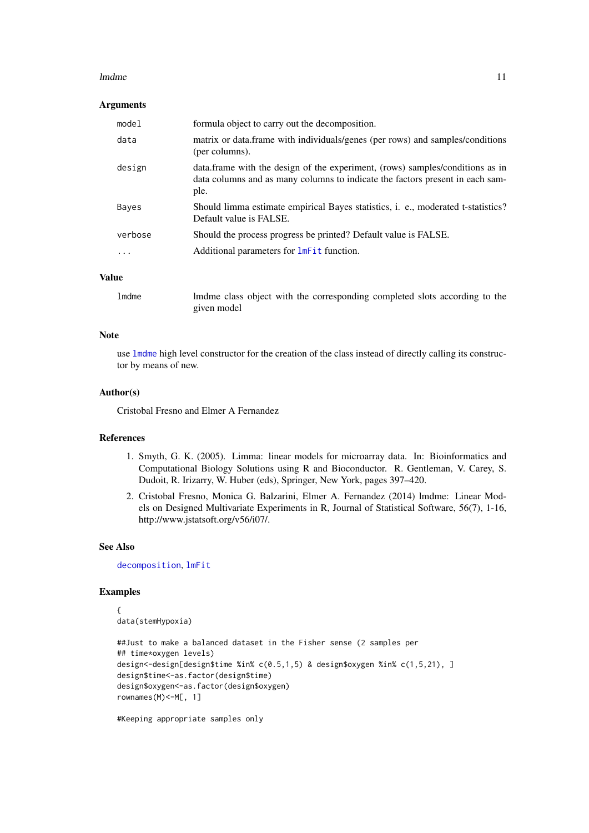#### <span id="page-10-0"></span>lmdme that the contract of the contract of the contract of the contract of the contract of the contract of the contract of the contract of the contract of the contract of the contract of the contract of the contract of the

#### Arguments

| model   | formula object to carry out the decomposition.                                                                                                                          |
|---------|-------------------------------------------------------------------------------------------------------------------------------------------------------------------------|
| data    | matrix or data.frame with individuals/genes (per rows) and samples/conditions<br>(per columns).                                                                         |
| design  | data. frame with the design of the experiment, (rows) samples/conditions as in<br>data columns and as many columns to indicate the factors present in each sam-<br>ple. |
| Bayes   | Should limma estimate empirical Bayes statistics, i. e., moderated t-statistics?<br>Default value is FALSE.                                                             |
| verbose | Should the process progress be printed? Default value is FALSE.                                                                                                         |
| $\cdot$ | Additional parameters for lmFit function.                                                                                                                               |

## Value

lmdme lmdme class object with the corresponding completed slots according to the given model

#### Note

use [lmdme](#page-9-1) high level constructor for the creation of the class instead of directly calling its constructor by means of new.

#### Author(s)

Cristobal Fresno and Elmer A Fernandez

#### References

- 1. Smyth, G. K. (2005). Limma: linear models for microarray data. In: Bioinformatics and Computational Biology Solutions using R and Bioconductor. R. Gentleman, V. Carey, S. Dudoit, R. Irizarry, W. Huber (eds), Springer, New York, pages 397–420.
- 2. Cristobal Fresno, Monica G. Balzarini, Elmer A. Fernandez (2014) lmdme: Linear Models on Designed Multivariate Experiments in R, Journal of Statistical Software, 56(7), 1-16, http://www.jstatsoft.org/v56/i07/.

#### See Also

[decomposition](#page-3-1), [lmFit](#page-0-0)

#### Examples

```
{
data(stemHypoxia)
##Just to make a balanced dataset in the Fisher sense (2 samples per
## time*oxygen levels)
design<-design[design$time %in% c(0.5,1,5) & design$oxygen %in% c(1,5,21), ]
design$time<-as.factor(design$time)
design$oxygen<-as.factor(design$oxygen)
rownames(M)<-M[, 1]
```
#Keeping appropriate samples only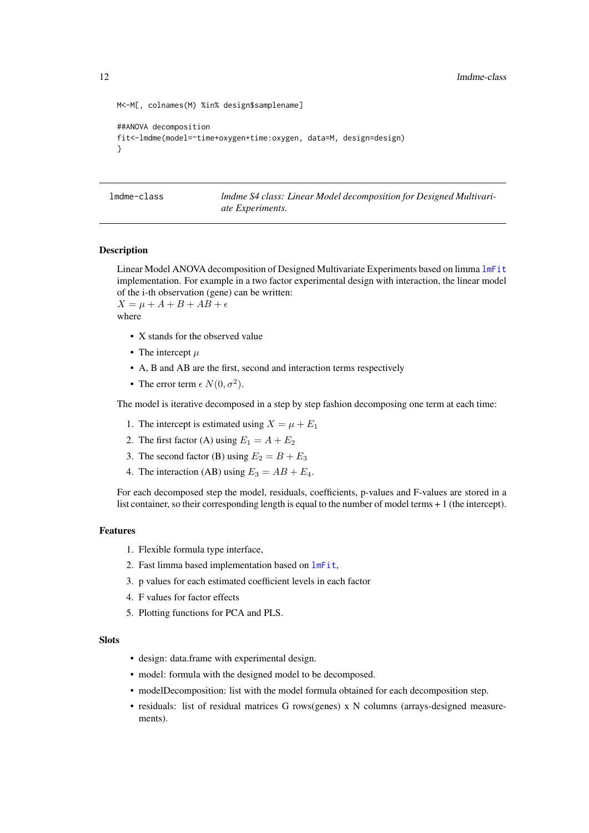```
M<-M[, colnames(M) %in% design$samplename]
##ANOVA decomposition
fit<-lmdme(model=~time+oxygen+time:oxygen, data=M, design=design)
}
```
lmdme-class *lmdme S4 class: Linear Model decomposition for Designed Multivariate Experiments.*

#### **Description**

Linear Model ANOVA decomposition of Designed Multivariate Experiments based on limma [lmFit](#page-0-0) implementation. For example in a two factor experimental design with interaction, the linear model of the i-th observation (gene) can be written:  $X = \mu + A + B + AB + \epsilon$ 

where

- X stands for the observed value
- The intercept  $\mu$
- A, B and AB are the first, second and interaction terms respectively
- The error term  $\epsilon N(0, \sigma^2)$ .

The model is iterative decomposed in a step by step fashion decomposing one term at each time:

- 1. The intercept is estimated using  $X = \mu + E_1$
- 2. The first factor (A) using  $E_1 = A + E_2$
- 3. The second factor (B) using  $E_2 = B + E_3$
- 4. The interaction (AB) using  $E_3 = AB + E_4$ .

For each decomposed step the model, residuals, coefficients, p-values and F-values are stored in a list container, so their corresponding length is equal to the number of model terms + 1 (the intercept).

#### Features

- 1. Flexible formula type interface,
- 2. Fast limma based implementation based on [lmFit](#page-0-0),
- 3. p values for each estimated coefficient levels in each factor
- 4. F values for factor effects
- 5. Plotting functions for PCA and PLS.

## **Slots**

- design: data.frame with experimental design.
- model: formula with the designed model to be decomposed.
- modelDecomposition: list with the model formula obtained for each decomposition step.
- residuals: list of residual matrices G rows(genes) x N columns (arrays-designed measurements).

<span id="page-11-0"></span>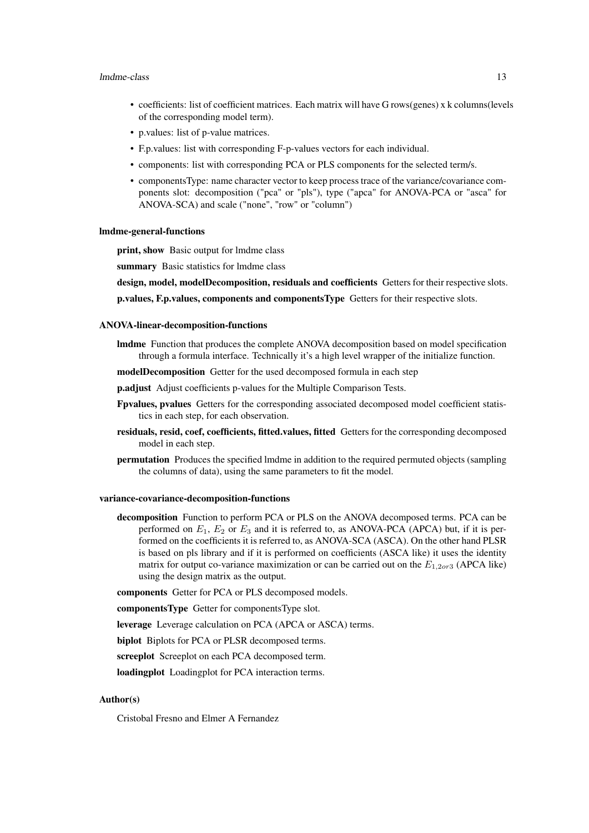#### lmdme-class 13

- coefficients: list of coefficient matrices. Each matrix will have G rows(genes) x k columns(levels of the corresponding model term).
- p.values: list of p-value matrices.
- F.p.values: list with corresponding F-p-values vectors for each individual.
- components: list with corresponding PCA or PLS components for the selected term/s.
- componentsType: name character vector to keep process trace of the variance/covariance components slot: decomposition ("pca" or "pls"), type ("apca" for ANOVA-PCA or "asca" for ANOVA-SCA) and scale ("none", "row" or "column")

#### lmdme-general-functions

print, show Basic output for lmdme class

summary Basic statistics for lmdme class

design, model, modelDecomposition, residuals and coefficients Getters for their respective slots.

p.values, F.p.values, components and componentsType Getters for their respective slots.

#### ANOVA-linear-decomposition-functions

- lmdme Function that produces the complete ANOVA decomposition based on model specification through a formula interface. Technically it's a high level wrapper of the initialize function.
- modelDecomposition Getter for the used decomposed formula in each step
- p.adjust Adjust coefficients p-values for the Multiple Comparison Tests.
- Fpvalues, pvalues Getters for the corresponding associated decomposed model coefficient statistics in each step, for each observation.
- residuals, resid, coef, coefficients, fitted.values, fitted Getters for the corresponding decomposed model in each step.
- permutation Produces the specified lmdme in addition to the required permuted objects (sampling the columns of data), using the same parameters to fit the model.

#### variance-covariance-decomposition-functions

- decomposition Function to perform PCA or PLS on the ANOVA decomposed terms. PCA can be performed on  $E_1$ ,  $E_2$  or  $E_3$  and it is referred to, as ANOVA-PCA (APCA) but, if it is performed on the coefficients it is referred to, as ANOVA-SCA (ASCA). On the other hand PLSR is based on pls library and if it is performed on coefficients (ASCA like) it uses the identity matrix for output co-variance maximization or can be carried out on the  $E_{1,20r3}$  (APCA like) using the design matrix as the output.
- components Getter for PCA or PLS decomposed models.
- componentsType Getter for componentsType slot.

leverage Leverage calculation on PCA (APCA or ASCA) terms.

- biplot Biplots for PCA or PLSR decomposed terms.
- screeplot Screeplot on each PCA decomposed term.
- loadingplot Loadingplot for PCA interaction terms.

#### Author(s)

Cristobal Fresno and Elmer A Fernandez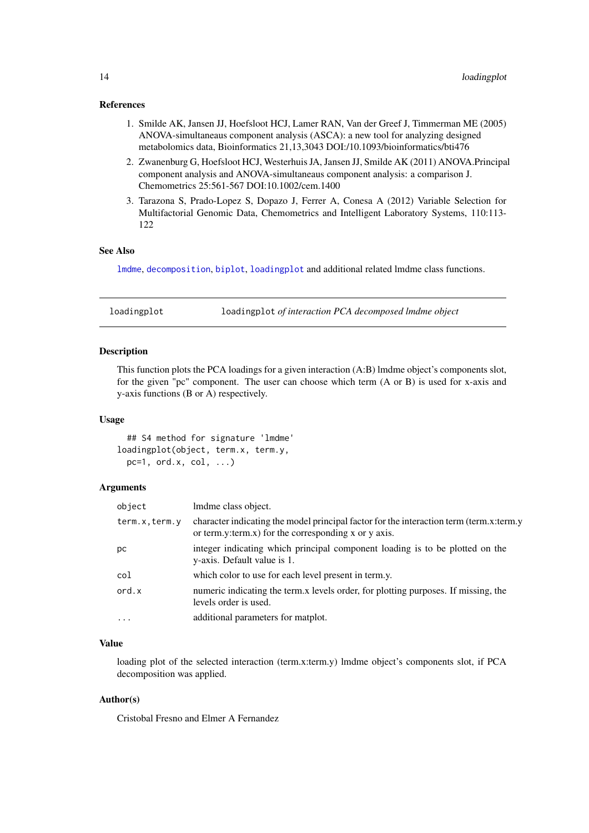#### <span id="page-13-0"></span>References

- 1. Smilde AK, Jansen JJ, Hoefsloot HCJ, Lamer RAN, Van der Greef J, Timmerman ME (2005) ANOVA-simultaneaus component analysis (ASCA): a new tool for analyzing designed metabolomics data, Bioinformatics 21,13,3043 DOI:/10.1093/bioinformatics/bti476
- 2. Zwanenburg G, Hoefsloot HCJ, Westerhuis JA, Jansen JJ, Smilde AK (2011) ANOVA.Principal component analysis and ANOVA-simultaneaus component analysis: a comparison J. Chemometrics 25:561-567 DOI:10.1002/cem.1400
- 3. Tarazona S, Prado-Lopez S, Dopazo J, Ferrer A, Conesa A (2012) Variable Selection for Multifactorial Genomic Data, Chemometrics and Intelligent Laboratory Systems, 110:113- 122

#### See Also

[lmdme](#page-9-1), [decomposition](#page-3-1), [biplot](#page-1-1), [loadingplot](#page-13-1) and additional related lmdme class functions.

<span id="page-13-1"></span>loadingplot loadingplot *of interaction PCA decomposed lmdme object*

## Description

This function plots the PCA loadings for a given interaction (A:B) lmdme object's components slot, for the given "pc" component. The user can choose which term (A or B) is used for x-axis and y-axis functions (B or A) respectively.

## Usage

## S4 method for signature 'lmdme' loadingplot(object, term.x, term.y, pc=1, ord.x,  $col, ...$ 

#### Arguments

| object         | Imdme class object.                                                                                                                                  |
|----------------|------------------------------------------------------------------------------------------------------------------------------------------------------|
| term.x, term.y | character indicating the model principal factor for the interaction term (term.x:term.y<br>or term.y: term.x) for the corresponding $x$ or $y$ axis. |
| рc             | integer indicating which principal component loading is to be plotted on the<br>y-axis. Default value is 1.                                          |
| col            | which color to use for each level present in term.y.                                                                                                 |
| ord.x          | numeric indicating the term.x levels order, for plotting purposes. If missing, the<br>levels order is used.                                          |
| $\ddots$       | additional parameters for matplot.                                                                                                                   |

#### Value

loading plot of the selected interaction (term.x:term.y) lmdme object's components slot, if PCA decomposition was applied.

## Author(s)

Cristobal Fresno and Elmer A Fernandez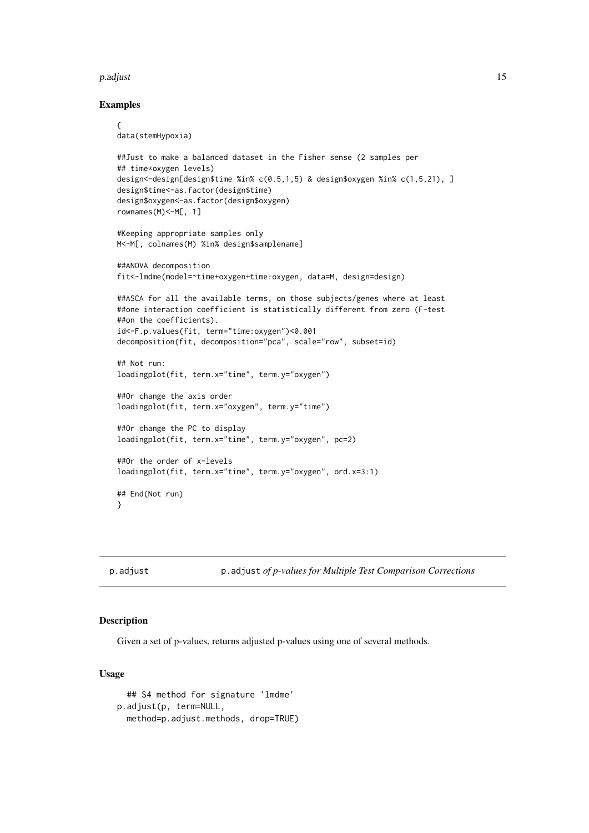#### <span id="page-14-0"></span>p.adjust 15

## Examples { data(stemHypoxia) ##Just to make a balanced dataset in the Fisher sense (2 samples per ## time\*oxygen levels) design<-design[design\$time %in% c(0.5,1,5) & design\$oxygen %in% c(1,5,21), ] design\$time<-as.factor(design\$time) design\$oxygen<-as.factor(design\$oxygen) rownames(M)<-M[, 1] #Keeping appropriate samples only M<-M[, colnames(M) %in% design\$samplename] ##ANOVA decomposition fit<-lmdme(model=~time+oxygen+time:oxygen, data=M, design=design) ##ASCA for all the available terms, on those subjects/genes where at least ##one interaction coefficient is statistically different from zero (F-test ##on the coefficients). id<-F.p.values(fit, term="time:oxygen")<0.001 decomposition(fit, decomposition="pca", scale="row", subset=id) ## Not run: loadingplot(fit, term.x="time", term.y="oxygen") ##Or change the axis order loadingplot(fit, term.x="oxygen", term.y="time") ##Or change the PC to display loadingplot(fit, term.x="time", term.y="oxygen", pc=2) ##Or the order of x-levels loadingplot(fit, term.x="time", term.y="oxygen", ord.x=3:1) ## End(Not run) }

<span id="page-14-1"></span>p.adjust p.adjust *of p-values for Multiple Test Comparison Corrections*

#### Description

Given a set of p-values, returns adjusted p-values using one of several methods.

#### Usage

```
## S4 method for signature 'lmdme'
p.adjust(p, term=NULL,
 method=p.adjust.methods, drop=TRUE)
```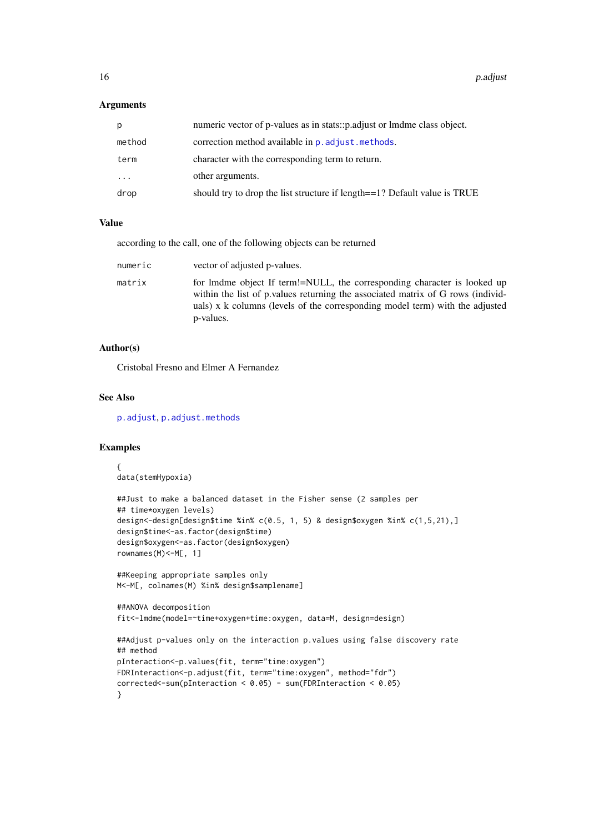## <span id="page-15-0"></span>Arguments

| р        | numeric vector of p-values as in stats::p.adjust or lmdme class object.   |
|----------|---------------------------------------------------------------------------|
| method   | correction method available in <b>p</b> . adjust. methods.                |
| term     | character with the corresponding term to return.                          |
| $\cdots$ | other arguments.                                                          |
| drop     | should try to drop the list structure if length==1? Default value is TRUE |
|          |                                                                           |

## Value

according to the call, one of the following objects can be returned

| numeric | vector of adjusted p-values.                                                                                                                                                                                                                             |
|---------|----------------------------------------------------------------------------------------------------------------------------------------------------------------------------------------------------------------------------------------------------------|
| matrix  | for lmdme object If term!=NULL, the corresponding character is looked up<br>within the list of p values returning the associated matrix of G rows (individ-<br>uals) x k columns (levels of the corresponding model term) with the adjusted<br>p-values. |

## Author(s)

Cristobal Fresno and Elmer A Fernandez

## See Also

[p.adjust](#page-14-1), [p.adjust.methods](#page-0-0)

#### Examples

```
{
data(stemHypoxia)
```

```
##Just to make a balanced dataset in the Fisher sense (2 samples per
## time*oxygen levels)
design<-design[design$time %in% c(0.5, 1, 5) & design$oxygen %in% c(1,5,21),]
design$time<-as.factor(design$time)
design$oxygen<-as.factor(design$oxygen)
rownames(M)<-M[, 1]
```

```
##Keeping appropriate samples only
M<-M[, colnames(M) %in% design$samplename]
```

```
##ANOVA decomposition
fit<-lmdme(model=~time+oxygen+time:oxygen, data=M, design=design)
```

```
##Adjust p-values only on the interaction p.values using false discovery rate
## method
pInteraction<-p.values(fit, term="time:oxygen")
FDRInteraction<-p.adjust(fit, term="time:oxygen", method="fdr")
corrected<-sum(pInteraction < 0.05) - sum(FDRInteraction < 0.05)
}
```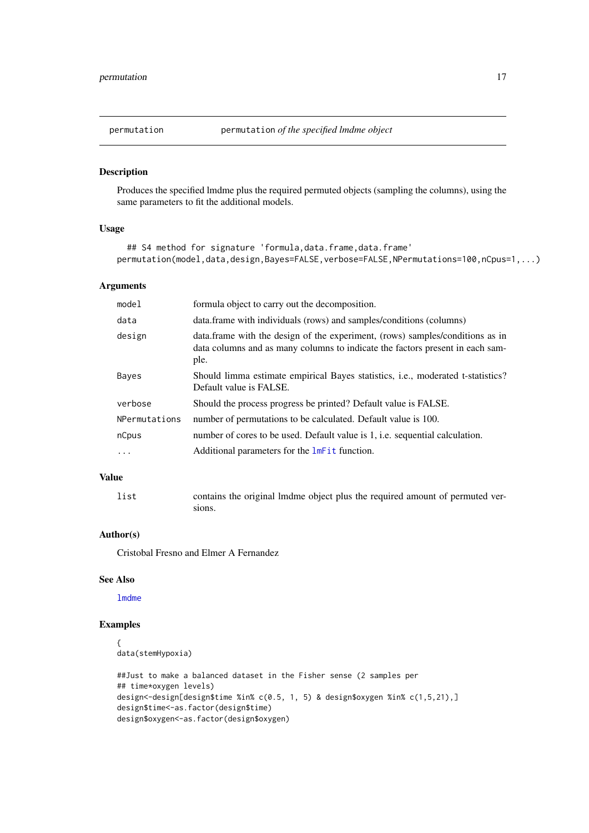<span id="page-16-0"></span>

#### Description

Produces the specified lmdme plus the required permuted objects (sampling the columns), using the same parameters to fit the additional models.

## Usage

```
## S4 method for signature 'formula, data.frame, data.frame'
permutation(model,data,design,Bayes=FALSE,verbose=FALSE,NPermutations=100,nCpus=1,...)
```
#### Arguments

| model         | formula object to carry out the decomposition.                                                                                                                          |
|---------------|-------------------------------------------------------------------------------------------------------------------------------------------------------------------------|
| data          | data.frame with individuals (rows) and samples/conditions (columns)                                                                                                     |
| design        | data. frame with the design of the experiment, (rows) samples/conditions as in<br>data columns and as many columns to indicate the factors present in each sam-<br>ple. |
| Bayes         | Should limma estimate empirical Bayes statistics, <i>i.e.</i> , moderated t-statistics?<br>Default value is FALSE.                                                      |
| verbose       | Should the process progress be printed? Default value is FALSE.                                                                                                         |
| NPermutations | number of permutations to be calculated. Default value is 100.                                                                                                          |
| nCpus         | number of cores to be used. Default value is 1, i.e. sequential calculation.                                                                                            |
| $\ddots$ .    | Additional parameters for the <b>lmFit</b> function.                                                                                                                    |

#### Value

| list | contains the original lmdme object plus the required amount of permuted ver- |
|------|------------------------------------------------------------------------------|
|      | sions.                                                                       |

## Author(s)

Cristobal Fresno and Elmer A Fernandez

#### See Also

[lmdme](#page-9-1)

## Examples

```
{
data(stemHypoxia)
```
##Just to make a balanced dataset in the Fisher sense (2 samples per ## time\*oxygen levels) design<-design[design\$time %in% c(0.5, 1, 5) & design\$oxygen %in% c(1,5,21),] design\$time<-as.factor(design\$time) design\$oxygen<-as.factor(design\$oxygen)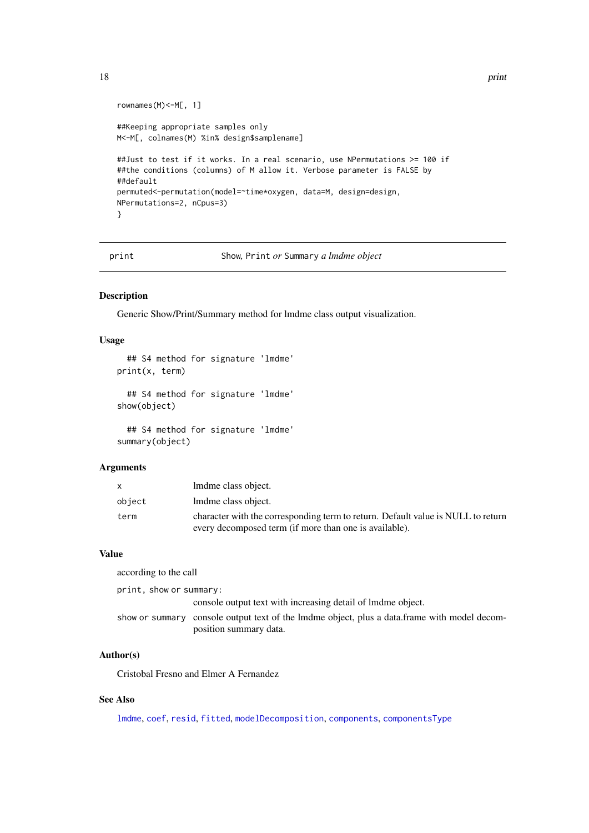```
rownames(M)<-M[, 1]
##Keeping appropriate samples only
M<-M[, colnames(M) %in% design$samplename]
##Just to test if it works. In a real scenario, use NPermutations >= 100 if
##the conditions (columns) of M allow it. Verbose parameter is FALSE by
##default
permuted<-permutation(model=~time*oxygen, data=M, design=design,
NPermutations=2, nCpus=3)
}
```
<span id="page-17-1"></span>print Show*,* Print *or* Summary *a lmdme object*

## <span id="page-17-2"></span>Description

Generic Show/Print/Summary method for lmdme class output visualization.

#### Usage

```
## S4 method for signature 'lmdme'
print(x, term)
  ## S4 method for signature 'lmdme'
show(object)
```
## S4 method for signature 'lmdme' summary(object)

#### Arguments

| X      | lmdme class object.                                                              |
|--------|----------------------------------------------------------------------------------|
| object | lmdme class object.                                                              |
| term   | character with the corresponding term to return. Default value is NULL to return |
|        | every decomposed term (if more than one is available).                           |

## Value

according to the call print, show or summary: console output text with increasing detail of lmdme object. show or summary console output text of the lmdme object, plus a data.frame with model decomposition summary data.

## Author(s)

Cristobal Fresno and Elmer A Fernandez

## See Also

[lmdme](#page-9-1), [coef](#page-5-1), [resid](#page-5-1), [fitted](#page-5-1), [modelDecomposition](#page-5-1), [components](#page-5-1), [componentsType](#page-5-1)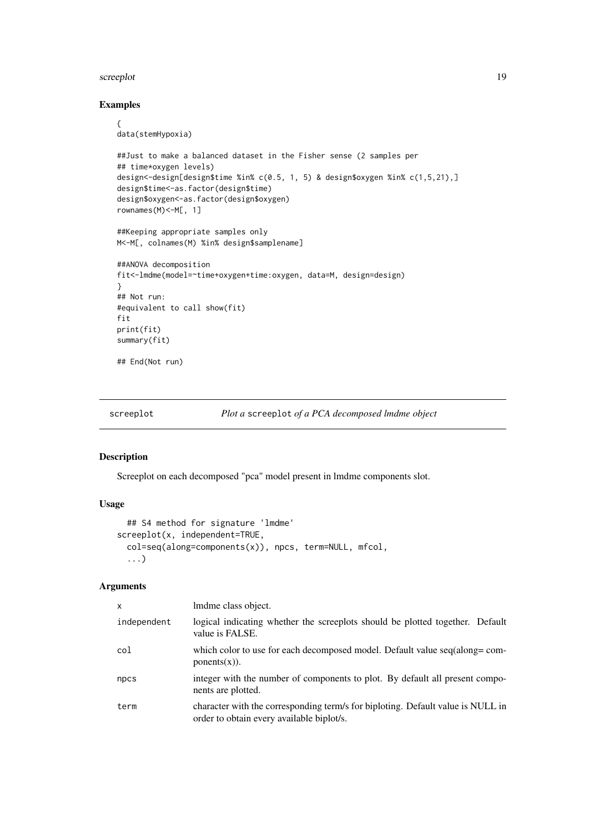#### <span id="page-18-0"></span>screeplot the same screeplot that the same screeplot that the same screeplot that the same screeplot that the same screeplot that the same screeplot that the same screeplot that the same screeplot that the same screep scre

#### Examples

```
{
data(stemHypoxia)
```

```
##Just to make a balanced dataset in the Fisher sense (2 samples per
## time*oxygen levels)
design<-design[design$time %in% c(0.5, 1, 5) & design$oxygen %in% c(1,5,21),]
design$time<-as.factor(design$time)
design$oxygen<-as.factor(design$oxygen)
rownames(M)<-M[, 1]
```

```
##Keeping appropriate samples only
M<-M[, colnames(M) %in% design$samplename]
```

```
##ANOVA decomposition
fit<-lmdme(model=~time+oxygen+time:oxygen, data=M, design=design)
}
## Not run:
#equivalent to call show(fit)
fit
print(fit)
summary(fit)
## End(Not run)
```
screeplot *Plot a* screeplot *of a PCA decomposed lmdme object*

#### Description

Screeplot on each decomposed "pca" model present in lmdme components slot.

#### Usage

```
## S4 method for signature 'lmdme'
screeplot(x, independent=TRUE,
 col=seq(along=components(x)), npcs, term=NULL, mfcol,
  ...)
```
## Arguments

| $\boldsymbol{\mathsf{x}}$ | Imdme class object.                                                                                                          |
|---------------------------|------------------------------------------------------------------------------------------------------------------------------|
| independent               | logical indicating whether the screeplots should be plotted together. Default<br>value is FALSE.                             |
| col                       | which color to use for each decomposed model. Default value seq(along=com-<br>ponents $(x)$ ).                               |
| npcs                      | integer with the number of components to plot. By default all present compo-<br>nents are plotted.                           |
| term                      | character with the corresponding term/s for biploting. Default value is NULL in<br>order to obtain every available biplot/s. |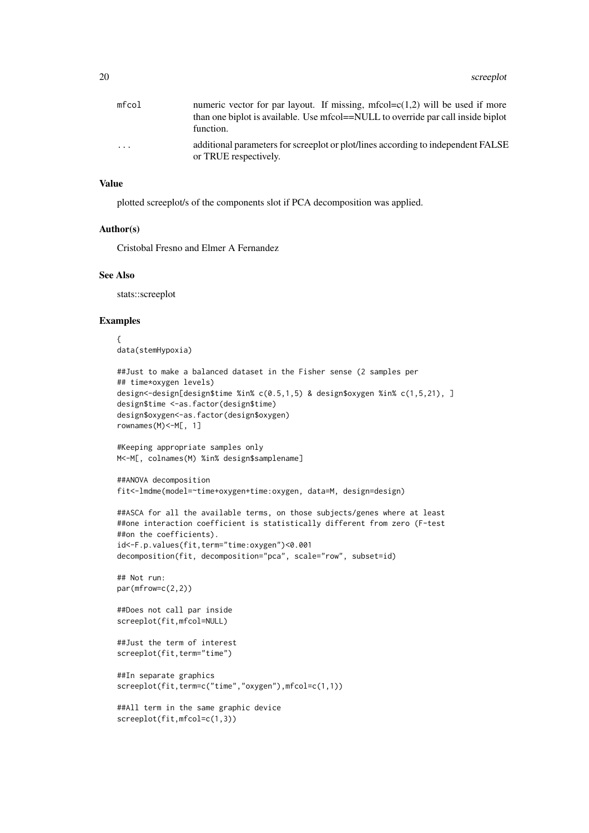| mfcol     | numeric vector for par layout. If missing, mfcol= $c(1,2)$ will be used if more  |
|-----------|----------------------------------------------------------------------------------|
|           | than one biplot is available. Use mfcol==NULL to override par call inside biplot |
|           | function.                                                                        |
| $\ddotsc$ | additional parameters for screeplot or plot/lines according to independent FALSE |
|           | or TRUE respectively.                                                            |

### Value

plotted screeplot/s of the components slot if PCA decomposition was applied.

#### Author(s)

Cristobal Fresno and Elmer A Fernandez

## See Also

stats::screeplot

#### Examples

{ data(stemHypoxia)

```
##Just to make a balanced dataset in the Fisher sense (2 samples per
## time*oxygen levels)
design<-design[design$time %in% c(0.5,1,5) & design$oxygen %in% c(1,5,21), ]
design$time <-as.factor(design$time)
design$oxygen<-as.factor(design$oxygen)
rownames(M)<-M[, 1]
```

```
#Keeping appropriate samples only
M<-M[, colnames(M) %in% design$samplename]
```

```
##ANOVA decomposition
fit<-lmdme(model=~time+oxygen+time:oxygen, data=M, design=design)
```

```
##ASCA for all the available terms, on those subjects/genes where at least
##one interaction coefficient is statistically different from zero (F-test
##on the coefficients).
id<-F.p.values(fit,term="time:oxygen")<0.001
decomposition(fit, decomposition="pca", scale="row", subset=id)
```

```
## Not run:
par(mfrow=c(2,2))
```
##Does not call par inside screeplot(fit,mfcol=NULL)

```
##Just the term of interest
screeplot(fit,term="time")
```

```
##In separate graphics
screeplot(fit,term=c("time","oxygen"),mfcol=c(1,1))
```

```
##All term in the same graphic device
screeplot(fit,mfcol=c(1,3))
```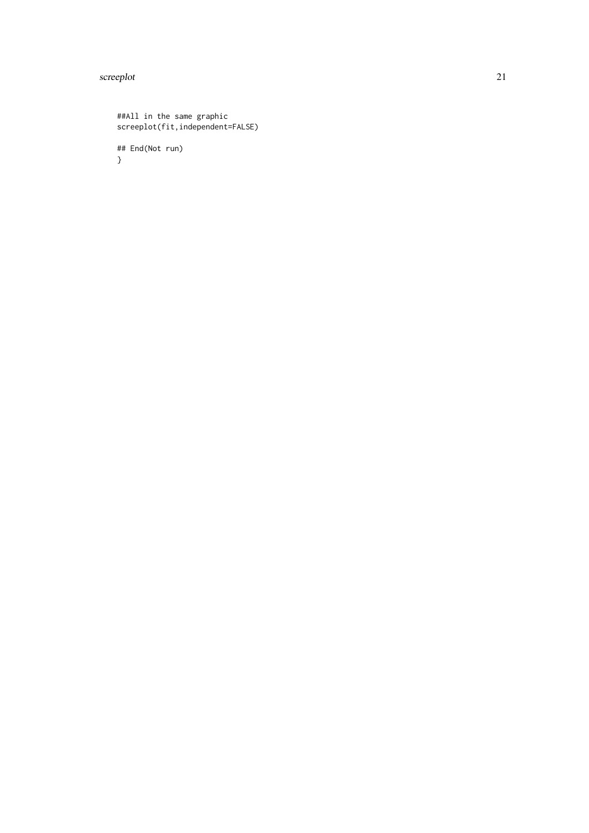#### screeplot 21

```
##All in the same graphic
screeplot(fit,independent=FALSE)
## End(Not run)
}
```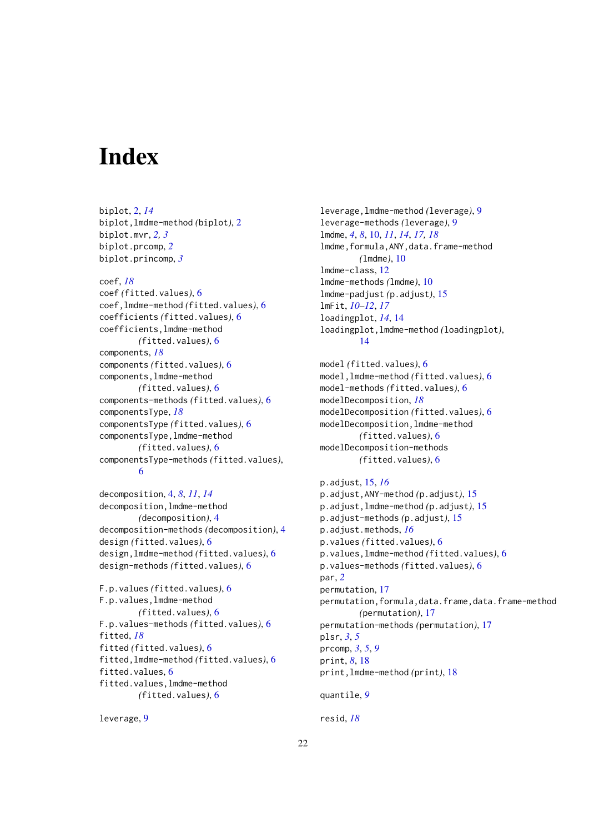# <span id="page-21-0"></span>Index

biplot, [2,](#page-1-0) *[14](#page-13-0)* biplot,lmdme-method *(*biplot*)*, [2](#page-1-0) biplot.mvr, *[2,](#page-1-0) [3](#page-2-0)* biplot.prcomp, *[2](#page-1-0)* biplot.princomp, *[3](#page-2-0)* coef, *[18](#page-17-0)* coef *(*fitted.values*)*, [6](#page-5-0) coef,lmdme-method *(*fitted.values*)*, [6](#page-5-0) coefficients *(*fitted.values*)*, [6](#page-5-0) coefficients,lmdme-method *(*fitted.values*)*, [6](#page-5-0) components, *[18](#page-17-0)* components *(*fitted.values*)*, [6](#page-5-0) components,lmdme-method *(*fitted.values*)*, [6](#page-5-0) components-methods *(*fitted.values*)*, [6](#page-5-0) componentsType, *[18](#page-17-0)* componentsType *(*fitted.values*)*, [6](#page-5-0) componentsType,lmdme-method *(*fitted.values*)*, [6](#page-5-0) componentsType-methods *(*fitted.values*)*, [6](#page-5-0)

decomposition, [4,](#page-3-0) *[8](#page-7-0)*, *[11](#page-10-0)*, *[14](#page-13-0)* decomposition,lmdme-method *(*decomposition*)*, [4](#page-3-0) decomposition-methods *(*decomposition*)*, [4](#page-3-0) design *(*fitted.values*)*, [6](#page-5-0) design,lmdme-method *(*fitted.values*)*, [6](#page-5-0) design-methods *(*fitted.values*)*, [6](#page-5-0)

F.p.values *(*fitted.values*)*, [6](#page-5-0) F.p.values,lmdme-method *(*fitted.values*)*, [6](#page-5-0) F.p.values-methods *(*fitted.values*)*, [6](#page-5-0) fitted, *[18](#page-17-0)* fitted *(*fitted.values*)*, [6](#page-5-0) fitted,lmdme-method *(*fitted.values*)*, [6](#page-5-0) fitted.values, [6](#page-5-0) fitted.values,lmdme-method *(*fitted.values*)*, [6](#page-5-0)

leverage, [9](#page-8-0)

leverage,lmdme-method *(*leverage*)*, [9](#page-8-0) leverage-methods *(*leverage*)*, [9](#page-8-0) lmdme, *[4](#page-3-0)*, *[8](#page-7-0)*, [10,](#page-9-0) *[11](#page-10-0)*, *[14](#page-13-0)*, *[17,](#page-16-0) [18](#page-17-0)* lmdme,formula,ANY,data.frame-method *(*lmdme*)*, [10](#page-9-0) lmdme-class, [12](#page-11-0) lmdme-methods *(*lmdme*)*, [10](#page-9-0) lmdme-padjust *(*p.adjust*)*, [15](#page-14-0) lmFit, *[10](#page-9-0)[–12](#page-11-0)*, *[17](#page-16-0)* loadingplot, *[14](#page-13-0)*, [14](#page-13-0) loadingplot,lmdme-method *(*loadingplot*)*, [14](#page-13-0) model *(*fitted.values*)*, [6](#page-5-0)

```
model,lmdme-method (fitted.values), 6
model-methods (fitted.values), 6
modelDecomposition, 18
modelDecomposition (fitted.values), 6
modelDecomposition,lmdme-method
        (fitted.values), 6
modelDecomposition-methods
        (fitted.values), 6
```

```
p.adjust, 15, 16
p.adjust,ANY-method (p.adjust), 15
p.adjust,lmdme-method (p.adjust), 15
p.adjust-methods (p.adjust), 15
p.adjust.methods, 16
p.values (fitted.values), 6
p.values,lmdme-method (fitted.values), 6
p.values-methods (fitted.values), 6
par, 2
permutation, 17
permutation,formula,data.frame,data.frame-method
        (permutation), 17
permutation-methods (permutation), 17
plsr, 3, 5
prcomp, 3, 5, 9
print, 8, 18
print,lmdme-method (print), 18
quantile, 9
```
resid, *[18](#page-17-0)*